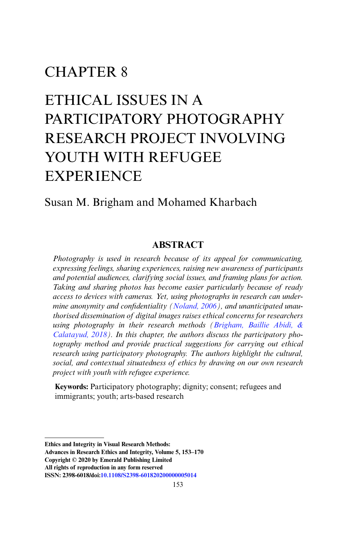# CHAPTER 8

# ETHICAL ISSUES IN A PARTICIPATORY PHOTOGRAPHY RESEARCH PROJECT INVOLVING YOUTH WITH REFUGEE EXPERIENCE

# Susan M. Brigham and Mohamed Kharbach

## **ABSTRACT**

*Photography is used in research because of its appeal for communicating, expressing feelings, sharing experiences, raising new awareness of participants and potential audiences, clarifying social issues, and framing plans for action. Taking and sharing photos has become easier particularly because of ready access to devices with cameras. Yet, using photographs in research can undermine anonymity and confidentiality [\(Noland, 2006](#page-16-0)), and unanticipated unauthorised dissemination of digital images raises ethical concerns for researchers using photography in their research methods ([Brigham, Baillie Abidi, &](#page-15-0)  [Calatayud, 2018\)](#page-15-0). In this chapter, the authors discuss the participatory photography method and provide practical suggestions for carrying out ethical research using participatory photography. The authors highlight the cultural, social, and contextual situatedness of ethics by drawing on our own research project with youth with refugee experience.*

**Keywords:** Participatory photography; dignity; consent; refugees and immigrants; youth; arts-based research

**Copyright © 2020 by Emerald Publishing Limited All rights of reproduction in any form reserved**

**Ethics and Integrity in Visual Research Methods:** 

**Advances in Research Ethics and Integrity, Volume 5, 153–170**

**ISSN: 2398-6018/doi:[10.1108/S2398-601820200000005014](http://doi.org/10.1108/S2398-601820200000005014)**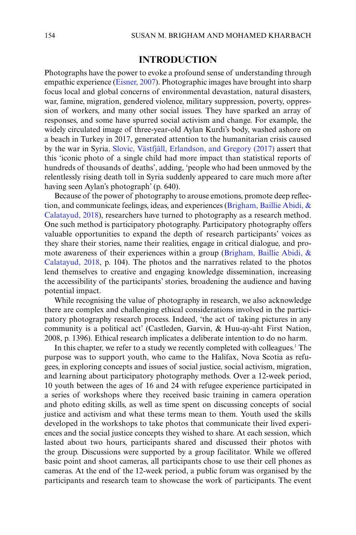## **INTRODUCTION**

Photographs have the power to evoke a profound sense of understanding through empathic experience ([Eisner, 2007](#page-15-1)). Photographic images have brought into sharp focus local and global concerns of environmental devastation, natural disasters, war, famine, migration, gendered violence, military suppression, poverty, oppression of workers, and many other social issues. They have sparked an array of responses, and some have spurred social activism and change. For example, the widely circulated image of three-year-old Aylan Kurdi's body, washed ashore on a beach in Turkey in 2017, generated attention to the humanitarian crisis caused by the war in Syria. [Slovic, Västfjäll, Erlandson, and Gregory \(2017\)](#page-17-0) assert that this 'iconic photo of a single child had more impact than statistical reports of hundreds of thousands of deaths', adding, 'people who had been unmoved by the relentlessly rising death toll in Syria suddenly appeared to care much more after having seen Aylan's photograph' (p. 640).

Because of the power of photography to arouse emotions, promote deep reflection, and communicate feelings, ideas, and experiences ([Brigham, Baillie Abidi, &](#page-15-0) [Calatayud, 2018](#page-15-0)), researchers have turned to photography as a research method. One such method is participatory photography. Participatory photography offers valuable opportunities to expand the depth of research participants' voices as they share their stories, name their realities, engage in critical dialogue, and promote awareness of their experiences within a group [\(Brigham, Baillie Abidi, &](#page-15-0) [Calatayud, 2018](#page-15-0), p. 104). The photos and the narratives related to the photos lend themselves to creative and engaging knowledge dissemination, increasing the accessibility of the participants' stories, broadening the audience and having potential impact.

While recognising the value of photography in research, we also acknowledge there are complex and challenging ethical considerations involved in the participatory photography research process. Indeed, 'the act of taking pictures in any community is a political act' (Castleden, Garvin, & Huu-ay-aht First Nation, 2008, p. 1396). Ethical research implicates a deliberate intention to do no harm.

In this chapter, we refer to a study we recently completed with colleagues.<sup>1</sup> The purpose was to support youth, who came to the Halifax, Nova Scotia as refugees, in exploring concepts and issues of social justice, social activism, migration, and learning about participatory photography methods. Over a 12-week period, 10 youth between the ages of 16 and 24 with refugee experience participated in a series of workshops where they received basic training in camera operation and photo editing skills, as well as time spent on discussing concepts of social justice and activism and what these terms mean to them. Youth used the skills developed in the workshops to take photos that communicate their lived experiences and the social justice concepts they wished to share. At each session, which lasted about two hours, participants shared and discussed their photos with the group. Discussions were supported by a group facilitator. While we offered basic point and shoot cameras, all participants chose to use their cell phones as cameras. At the end of the 12-week period, a public forum was organised by the participants and research team to showcase the work of participants. The event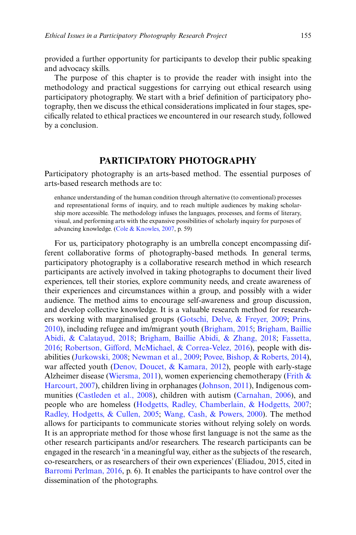provided a further opportunity for participants to develop their public speaking and advocacy skills.

The purpose of this chapter is to provide the reader with insight into the methodology and practical suggestions for carrying out ethical research using participatory photography. We start with a brief definition of participatory photography, then we discuss the ethical considerations implicated in four stages, specifically related to ethical practices we encountered in our research study, followed by a conclusion.

# **PARTICIPATORY PHOTOGRAPHY**

Participatory photography is an arts-based method. The essential purposes of arts-based research methods are to:

enhance understanding of the human condition through alternative (to conventional) processes and representational forms of inquiry, and to reach multiple audiences by making scholarship more accessible. The methodology infuses the languages, processes, and forms of literary, visual, and performing arts with the expansive possibilities of scholarly inquiry for purposes of advancing knowledge. [\(Cole & Knowles, 2007](#page-15-2), p. 59)

For us, participatory photography is an umbrella concept encompassing different collaborative forms of photography-based methods. In general terms, participatory photography is a collaborative research method in which research participants are actively involved in taking photographs to document their lived experiences, tell their stories, explore community needs, and create awareness of their experiences and circumstances within a group, and possibly with a wider audience. The method aims to encourage self-awareness and group discussion, and develop collective knowledge. It is a valuable research method for researchers working with marginalised groups ([Gotschi, Delve, & Freyer, 2009;](#page-16-1) [Prins,](#page-17-1) [2010\)](#page-17-1), including refugee and im/migrant youth ([Brigham, 2015](#page-15-3); [Brigham, Baillie](#page-15-0) [Abidi, & Calatayud, 2018](#page-15-0); [Brigham, Baillie Abidi, & Zhang, 2018;](#page-15-4) [Fassetta,](#page-16-2) [2016;](#page-16-2) [Robertson, Gifford, McMichael, & Correa-Velez, 2016\)](#page-17-2), people with disabilities [\(Jurkowski, 2008;](#page-16-3) [Newman et al., 2009;](#page-16-4) [Povee, Bishop, & Roberts, 2014](#page-16-5)), war affected youth [\(Denov, Doucet, & Kamara, 2012\)](#page-15-5), people with early-stage Alzheimer disease ([Wiersma, 2011](#page-17-3)), women experiencing chemotherapy ([Frith &](#page-16-6) [Harcourt, 2007](#page-16-6)), children living in orphanages [\(Johnson, 2011\)](#page-16-7), Indigenous communities [\(Castleden et al., 2008\)](#page-15-6), children with autism [\(Carnahan, 2006](#page-15-7)), and people who are homeless ([Hodgetts, Radley, Chamberlain, & Hodgetts, 2007](#page-16-8); [Radley, Hodgetts, & Cullen, 2005](#page-17-4); [Wang, Cash, & Powers, 2000\)](#page-17-5). The method allows for participants to communicate stories without relying solely on words. It is an appropriate method for those whose first language is not the same as the other research participants and/or researchers. The research participants can be engaged in the research 'in a meaningful way, either as the subjects of the research, co-researchers, or as researchers of their own experiences' (Eliadou, 2015, cited in [Barromi Perlman, 2016,](#page-15-8) p. 6). It enables the participants to have control over the dissemination of the photographs.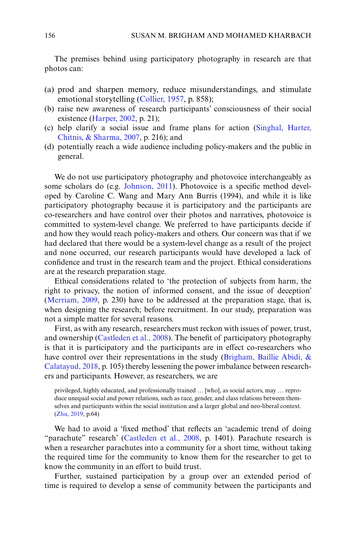The premises behind using participatory photography in research are that photos can:

- (a) prod and sharpen memory, reduce misunderstandings, and stimulate emotional storytelling [\(Collier, 1957](#page-15-9), p. 858);
- (b) raise new awareness of research participants' consciousness of their social existence [\(Harper, 2002,](#page-16-9) p. 21);
- (c) help clarify a social issue and frame plans for action [\(Singhal, Harter,](#page-17-6) [Chitnis, & Sharma, 2007,](#page-17-6) p. 216); and
- (d) potentially reach a wide audience including policy-makers and the public in general.

We do not use participatory photography and photovoice interchangeably as some scholars do (e.g. [Johnson, 2011\)](#page-16-7). Photovoice is a specific method developed by Caroline C. Wang and Mary Ann Burris (1994), and while it is like participatory photography because it is participatory and the participants are co-researchers and have control over their photos and narratives, photovoice is committed to system-level change. We preferred to have participants decide if and how they would reach policy-makers and others. Our concern was that if we had declared that there would be a system-level change as a result of the project and none occurred, our research participants would have developed a lack of confidence and trust in the research team and the project. Ethical considerations are at the research preparation stage.

Ethical considerations related to 'the protection of subjects from harm, the right to privacy, the notion of informed consent, and the issue of deception' [\(Merriam, 2009](#page-16-10), p. 230) have to be addressed at the preparation stage, that is, when designing the research; before recruitment. In our study, preparation was not a simple matter for several reasons.

First, as with any research, researchers must reckon with issues of power, trust, and ownership [\(Castleden et al., 2008\)](#page-15-6). The benefit of participatory photography is that it is participatory and the participants are in effect co-researchers who have control over their representations in the study ([Brigham, Baillie Abidi, &](#page-15-0) [Calatayud, 2018,](#page-15-0) p. 105) thereby lessening the power imbalance between researchers and participants. However, as researchers, we are

privileged, highly educated, and professionally trained … [who], as social actors, may … reproduce unequal social and power relations, such as race, gender, and class relations between themselves and participants within the social institution and a larger global and neo-liberal context. [\(Zhu, 2019,](#page-17-7) p.64)

We had to avoid a 'fixed method' that reflects an 'academic trend of doing "parachute" research' [\(Castleden et al., 2008](#page-15-6), p. 1401). Parachute research is when a researcher parachutes into a community for a short time, without taking the required time for the community to know them for the researcher to get to know the community in an effort to build trust.

Further, sustained participation by a group over an extended period of time is required to develop a sense of community between the participants and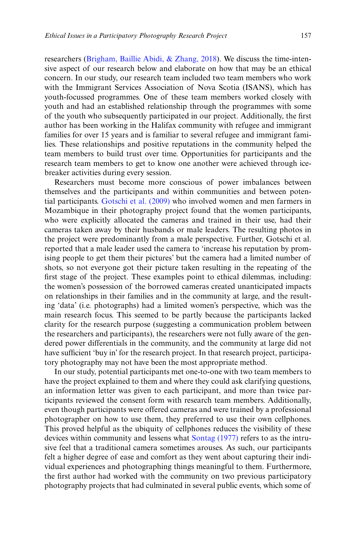researchers [\(Brigham, Baillie Abidi, & Zhang, 2018](#page-15-4)). We discuss the time-intensive aspect of our research below and elaborate on how that may be an ethical concern. In our study, our research team included two team members who work with the Immigrant Services Association of Nova Scotia (ISANS), which has youth-focussed programmes. One of these team members worked closely with youth and had an established relationship through the programmes with some of the youth who subsequently participated in our project. Additionally, the first author has been working in the Halifax community with refugee and immigrant families for over 15 years and is familiar to several refugee and immigrant families. These relationships and positive reputations in the community helped the team members to build trust over time. Opportunities for participants and the research team members to get to know one another were achieved through icebreaker activities during every session.

Researchers must become more conscious of power imbalances between themselves and the participants and within communities and between potential participants. [Gotschi et al. \(2009\)](#page-16-1) who involved women and men farmers in Mozambique in their photography project found that the women participants, who were explicitly allocated the cameras and trained in their use, had their cameras taken away by their husbands or male leaders. The resulting photos in the project were predominantly from a male perspective. Further, Gotschi et al. reported that a male leader used the camera to 'increase his reputation by promising people to get them their pictures' but the camera had a limited number of shots, so not everyone got their picture taken resulting in the repeating of the first stage of the project. These examples point to ethical dilemmas, including: the women's possession of the borrowed cameras created unanticipated impacts on relationships in their families and in the community at large, and the resulting 'data' (i.e. photographs) had a limited women's perspective, which was the main research focus. This seemed to be partly because the participants lacked clarity for the research purpose (suggesting a communication problem between the researchers and participants), the researchers were not fully aware of the gendered power differentials in the community, and the community at large did not have sufficient 'buy in' for the research project. In that research project, participatory photography may not have been the most appropriate method.

In our study, potential participants met one-to-one with two team members to have the project explained to them and where they could ask clarifying questions, an information letter was given to each participant, and more than twice participants reviewed the consent form with research team members. Additionally, even though participants were offered cameras and were trained by a professional photographer on how to use them, they preferred to use their own cellphones. This proved helpful as the ubiquity of cellphones reduces the visibility of these devices within community and lessens what [Sontag \(1977\)](#page-17-8) refers to as the intrusive feel that a traditional camera sometimes arouses. As such, our participants felt a higher degree of ease and comfort as they went about capturing their individual experiences and photographing things meaningful to them. Furthermore, the first author had worked with the community on two previous participatory photography projects that had culminated in several public events, which some of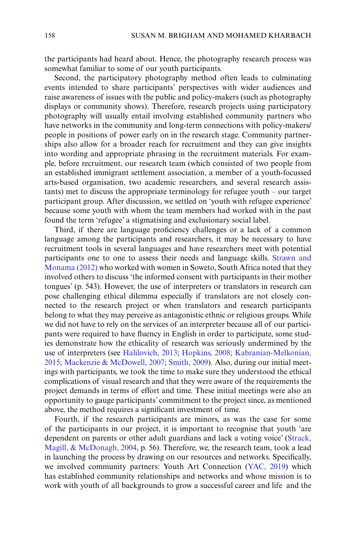the participants had heard about. Hence, the photography research process was somewhat familiar to some of our youth participants.

Second, the participatory photography method often leads to culminating events intended to share participants' perspectives with wider audiences and raise awareness of issues with the public and policy-makers (such as photography displays or community shows). Therefore, research projects using participatory photography will usually entail involving established community partners who have networks in the community and long-term connections with policy-makers/ people in positions of power early on in the research stage. Community partnerships also allow for a broader reach for recruitment and they can give insights into wording and appropriate phrasing in the recruitment materials. For example, before recruitment, our research team (which consisted of two people from an established immigrant settlement association, a member of a youth-focussed arts-based organisation, two academic researchers, and several research assistants) met to discuss the appropriate terminology for refugee youth – our target participant group. After discussion, we settled on 'youth with refugee experience' because some youth with whom the team members had worked with in the past found the term 'refugee' a stigmatising and exclusionary social label.

Third, if there are language proficiency challenges or a lack of a common language among the participants and researchers, it may be necessary to have recruitment tools in several languages and have researchers meet with potential participants one to one to assess their needs and language skills. [Strawn and](#page-17-9) [Monama \(2012\)](#page-17-9) who worked with women in Soweto, South Africa noted that they involved others to discuss 'the informed consent with participants in their mother tongues' (p. 543). However, the use of interpreters or translators in research can pose challenging ethical dilemma especially if translators are not closely connected to the research project or when translators and research participants belong to what they may perceive as antagonistic ethnic or religious groups. While we did not have to rely on the services of an interpreter because all of our participants were required to have fluency in English in order to participate, some studies demonstrate how the ethicality of research was seriously undermined by the use of interpreters (see [Halilovich, 2013;](#page-16-11) [Hopkins, 2008;](#page-16-12) [Kabranian-Melkonian,](#page-16-13) [2015;](#page-16-13) [Mackenzie & McDowell, 2007](#page-16-14); [Smith, 2009](#page-17-10)). Also, during our initial meetings with participants, we took the time to make sure they understood the ethical complications of visual research and that they were aware of the requirements the project demands in terms of effort and time. These initial meetings were also an opportunity to gauge participants' commitment to the project since, as mentioned above, the method requires a significant investment of time.

Fourth, if the research participants are minors, as was the case for some of the participants in our project, it is important to recognise that youth 'are dependent on parents or other adult guardians and lack a voting voice' [\(Strack,](#page-17-11) [Magill, & McDonagh, 2004](#page-17-11), p. 56). Therefore, we, the research team, took a lead in launching the process by drawing on our resources and networks. Specifically, we involved community partners: Youth Art Connection [\(YAC, 2019\)](#page-17-12) which has established community relationships and networks and whose mission is to work with youth of all backgrounds to grow a successful career and life and the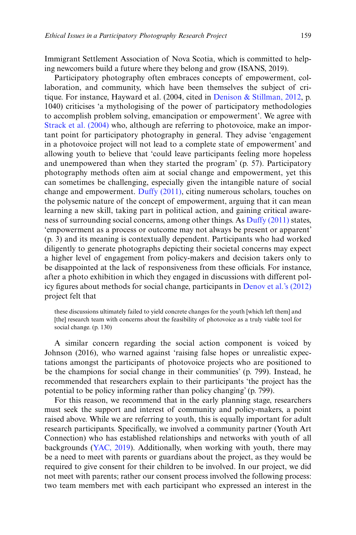Immigrant Settlement Association of Nova Scotia, which is committed to helping newcomers build a future where they belong and grow (ISANS, 2019).

Participatory photography often embraces concepts of empowerment, collaboration, and community, which have been themselves the subject of critique. For instance, Hayward et al. (2004, cited in [Denison & Stillman, 2012](#page-15-10), p. 1040) criticises 'a mythologising of the power of participatory methodologies to accomplish problem solving, emancipation or empowerment'. We agree with [Strack et al. \(2004\)](#page-17-11) who, although are referring to photovoice, make an important point for participatory photography in general. They advise 'engagement in a photovoice project will not lead to a complete state of empowerment' and allowing youth to believe that 'could leave participants feeling more hopeless and unempowered than when they started the program' (p. 57). Participatory photography methods often aim at social change and empowerment, yet this can sometimes be challenging, especially given the intangible nature of social change and empowerment. [Duffy \(2011\),](#page-15-11) citing numerous scholars, touches on the polysemic nature of the concept of empowerment, arguing that it can mean learning a new skill, taking part in political action, and gaining critical awareness of surrounding social concerns, among other things. As [Duffy \(2011\)](#page-15-11) states, 'empowerment as a process or outcome may not always be present or apparent' (p. 3) and its meaning is contextually dependent. Participants who had worked diligently to generate photographs depicting their societal concerns may expect a higher level of engagement from policy-makers and decision takers only to be disappointed at the lack of responsiveness from these officials. For instance, after a photo exhibition in which they engaged in discussions with different policy figures about methods for social change, participants in [Denov et al.'s \(2012\)](#page-15-5) project felt that

these discussions ultimately failed to yield concrete changes for the youth [which left them] and [the] research team with concerns about the feasibility of photovoice as a truly viable tool for social change. (p. 130)

A similar concern regarding the social action component is voiced by Johnson (2016), who warned against 'raising false hopes or unrealistic expectations amongst the participants of photovoice projects who are positioned to be the champions for social change in their communities' (p. 799). Instead, he recommended that researchers explain to their participants 'the project has the potential to be policy informing rather than policy changing' (p. 799).

For this reason, we recommend that in the early planning stage, researchers must seek the support and interest of community and policy-makers, a point raised above. While we are referring to youth, this is equally important for adult research participants. Specifically, we involved a community partner (Youth Art Connection) who has established relationships and networks with youth of all backgrounds ([YAC, 2019\)](#page-17-12). Additionally, when working with youth, there may be a need to meet with parents or guardians about the project, as they would be required to give consent for their children to be involved. In our project, we did not meet with parents; rather our consent process involved the following process: two team members met with each participant who expressed an interest in the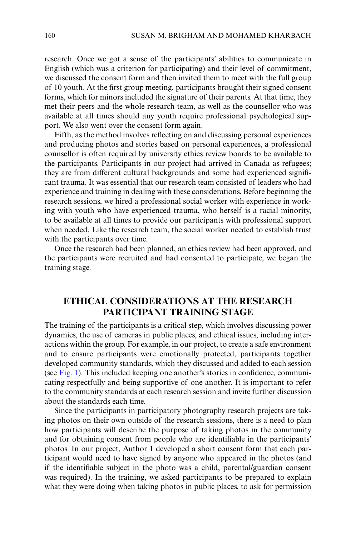research. Once we got a sense of the participants' abilities to communicate in English (which was a criterion for participating) and their level of commitment, we discussed the consent form and then invited them to meet with the full group of 10 youth. At the first group meeting, participants brought their signed consent forms, which for minors included the signature of their parents. At that time, they met their peers and the whole research team, as well as the counsellor who was available at all times should any youth require professional psychological support. We also went over the consent form again.

Fifth, as the method involves reflecting on and discussing personal experiences and producing photos and stories based on personal experiences, a professional counsellor is often required by university ethics review boards to be available to the participants. Participants in our project had arrived in Canada as refugees; they are from different cultural backgrounds and some had experienced significant trauma. It was essential that our research team consisted of leaders who had experience and training in dealing with these considerations. Before beginning the research sessions, we hired a professional social worker with experience in working with youth who have experienced trauma, who herself is a racial minority, to be available at all times to provide our participants with professional support when needed. Like the research team, the social worker needed to establish trust with the participants over time.

Once the research had been planned, an ethics review had been approved, and the participants were recruited and had consented to participate, we began the training stage.

# **ETHICAL CONSIDERATIONS AT THE RESEARCH PARTICIPANT TRAINING STAGE**

The training of the participants is a critical step, which involves discussing power dynamics, the use of cameras in public places, and ethical issues, including interactions within the group. For example, in our project, to create a safe environment and to ensure participants were emotionally protected, participants together developed community standards, which they discussed and added to each session (see [Fig. 1\)](#page-8-0). This included keeping one another's stories in confidence, communicating respectfully and being supportive of one another. It is important to refer to the community standards at each research session and invite further discussion about the standards each time.

Since the participants in participatory photography research projects are taking photos on their own outside of the research sessions, there is a need to plan how participants will describe the purpose of taking photos in the community and for obtaining consent from people who are identifiable in the participants' photos. In our project, Author 1 developed a short consent form that each participant would need to have signed by anyone who appeared in the photos (and if the identifiable subject in the photo was a child, parental/guardian consent was required). In the training, we asked participants to be prepared to explain what they were doing when taking photos in public places, to ask for permission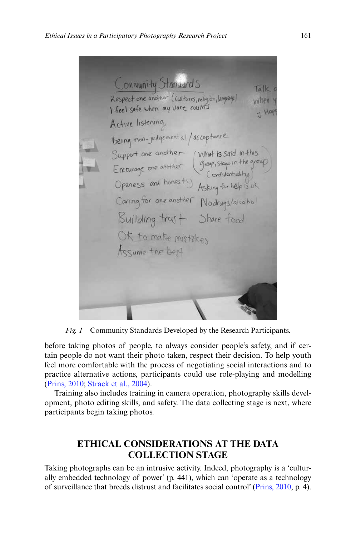Community Stanuards Talk Respect one ancher (cultures, religion, language) when \ . Hap Active listening Being non-judgement al/acceptance Support one another<br>Encurage one another (group, stays in the group)<br>Openess and honesty Asking for help is ok<br>Caring for one another Nodrugs/aliahal Building trust Share food OK to make mistakes Assume the best

<span id="page-8-0"></span>*Fig. 1* Community Standards Developed by the Research Participants.

before taking photos of people, to always consider people's safety, and if certain people do not want their photo taken, respect their decision. To help youth feel more comfortable with the process of negotiating social interactions and to practice alternative actions, participants could use role-playing and modelling [\(Prins, 2010](#page-17-1); [Strack et al., 2004](#page-17-11)).

Training also includes training in camera operation, photography skills development, photo editing skills, and safety. The data collecting stage is next, where participants begin taking photos.

# **ETHICAL CONSIDERATIONS AT THE DATA COLLECTION STAGE**

Taking photographs can be an intrusive activity. Indeed, photography is a 'culturally embedded technology of power' (p. 441), which can 'operate as a technology of surveillance that breeds distrust and facilitates social control' [\(Prins, 2010](#page-17-1), p. 4).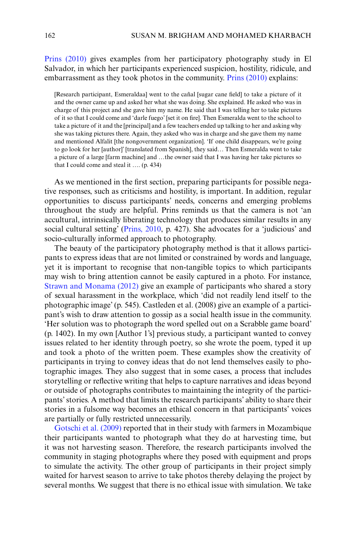[Prins \(2010\)](#page-17-1) gives examples from her participatory photography study in El Salvador, in which her participants experienced suspicion, hostility, ridicule, and embarrassment as they took photos in the community. [Prins \(2010\)](#page-17-1) explains:

[Research participant, Esmeraldaa] went to the cañal [sugar cane field] to take a picture of it and the owner came up and asked her what she was doing. She explained. He asked who was in charge of this project and she gave him my name. He said that I was telling her to take pictures of it so that I could come and 'darle fuego' [set it on fire]. Then Esmeralda went to the school to take a picture of it and the [principal] and a few teachers ended up talking to her and asking why she was taking pictures there. Again, they asked who was in charge and she gave them my name and mentioned Alfalit [the nongovernment organization]. 'If one child disappears, we're going to go look for her [author]' [translated from Spanish], they said… Then Esmeralda went to take a picture of a large [farm machine] and …the owner said that I was having her take pictures so that I could come and steal it …. (p. 434)

As we mentioned in the first section, preparing participants for possible negative responses, such as criticisms and hostility, is important. In addition, regular opportunities to discuss participants' needs, concerns and emerging problems throughout the study are helpful. Prins reminds us that the camera is not 'an accultural, intrinsically liberating technology that produces similar results in any social cultural setting' ([Prins, 2010,](#page-17-1) p. 427). She advocates for a 'judicious' and socio-culturally informed approach to photography.

The beauty of the participatory photography method is that it allows participants to express ideas that are not limited or constrained by words and language, yet it is important to recognise that non-tangible topics to which participants may wish to bring attention cannot be easily captured in a photo. For instance, [Strawn and Monama \(2012\)](#page-17-9) give an example of participants who shared a story of sexual harassment in the workplace, which 'did not readily lend itself to the photographic image' (p. 545). Castleden et al. (2008) give an example of a participant's wish to draw attention to gossip as a social health issue in the community. 'Her solution was to photograph the word spelled out on a Scrabble game board' (p. 1402). In my own [Author 1's] previous study, a participant wanted to convey issues related to her identity through poetry, so she wrote the poem, typed it up and took a photo of the written poem. These examples show the creativity of participants in trying to convey ideas that do not lend themselves easily to photographic images. They also suggest that in some cases, a process that includes storytelling or reflective writing that helps to capture narratives and ideas beyond or outside of photographs contributes to maintaining the integrity of the participants' stories. A method that limits the research participants' ability to share their stories in a fulsome way becomes an ethical concern in that participants' voices are partially or fully restricted unnecessarily.

[Gotschi et al. \(2009\)](#page-16-1) reported that in their study with farmers in Mozambique their participants wanted to photograph what they do at harvesting time, but it was not harvesting season. Therefore, the research participants involved the community in staging photographs where they posed with equipment and props to simulate the activity. The other group of participants in their project simply waited for harvest season to arrive to take photos thereby delaying the project by several months. We suggest that there is no ethical issue with simulation. We take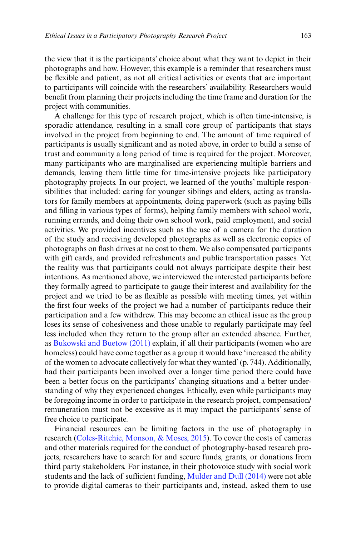the view that it is the participants' choice about what they want to depict in their photographs and how. However, this example is a reminder that researchers must be flexible and patient, as not all critical activities or events that are important to participants will coincide with the researchers' availability. Researchers would benefit from planning their projects including the time frame and duration for the project with communities.

A challenge for this type of research project, which is often time-intensive, is sporadic attendance, resulting in a small core group of participants that stays involved in the project from beginning to end. The amount of time required of participants is usually significant and as noted above, in order to build a sense of trust and community a long period of time is required for the project. Moreover, many participants who are marginalised are experiencing multiple barriers and demands, leaving them little time for time-intensive projects like participatory photography projects. In our project, we learned of the youths' multiple responsibilities that included: caring for younger siblings and elders, acting as translators for family members at appointments, doing paperwork (such as paying bills and filling in various types of forms), helping family members with school work, running errands, and doing their own school work, paid employment, and social activities. We provided incentives such as the use of a camera for the duration of the study and receiving developed photographs as well as electronic copies of photographs on flash drives at no cost to them. We also compensated participants with gift cards, and provided refreshments and public transportation passes. Yet the reality was that participants could not always participate despite their best intentions. As mentioned above, we interviewed the interested participants before they formally agreed to participate to gauge their interest and availability for the project and we tried to be as flexible as possible with meeting times, yet within the first four weeks of the project we had a number of participants reduce their participation and a few withdrew. This may become an ethical issue as the group loses its sense of cohesiveness and those unable to regularly participate may feel less included when they return to the group after an extended absence. Further, as [Bukowski and Buetow \(2011\)](#page-15-12) explain, if all their participants (women who are homeless) could have come together as a group it would have 'increased the ability of the women to advocate collectively for what they wanted' (p. 744). Additionally, had their participants been involved over a longer time period there could have been a better focus on the participants' changing situations and a better understanding of why they experienced changes. Ethically, even while participants may be foregoing income in order to participate in the research project, compensation/ remuneration must not be excessive as it may impact the participants' sense of free choice to participate.

Financial resources can be limiting factors in the use of photography in research ([Coles-Ritchie, Monson, & Moses, 2015](#page-15-13)). To cover the costs of cameras and other materials required for the conduct of photography-based research projects, researchers have to search for and secure funds, grants, or donations from third party stakeholders. For instance, in their photovoice study with social work students and the lack of sufficient funding, [Mulder and Dull \(2014\)](#page-16-15) were not able to provide digital cameras to their participants and, instead, asked them to use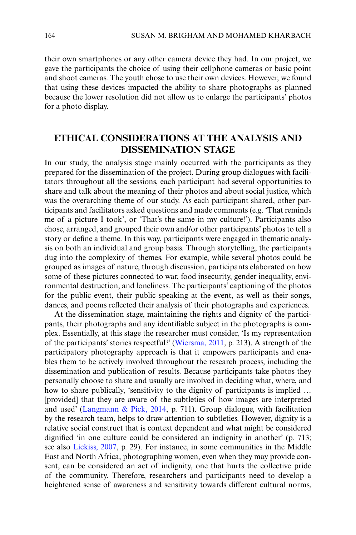their own smartphones or any other camera device they had. In our project, we gave the participants the choice of using their cellphone cameras or basic point and shoot cameras. The youth chose to use their own devices. However, we found that using these devices impacted the ability to share photographs as planned because the lower resolution did not allow us to enlarge the participants' photos for a photo display.

# **ETHICAL CONSIDERATIONS AT THE ANALYSIS AND DISSEMINATION STAGE**

In our study, the analysis stage mainly occurred with the participants as they prepared for the dissemination of the project. During group dialogues with facilitators throughout all the sessions, each participant had several opportunities to share and talk about the meaning of their photos and about social justice, which was the overarching theme of our study. As each participant shared, other participants and facilitators asked questions and made comments (e.g. 'That reminds me of a picture I took', or 'That's the same in my culture!'). Participants also chose, arranged, and grouped their own and/or other participants' photos to tell a story or define a theme. In this way, participants were engaged in thematic analysis on both an individual and group basis. Through storytelling, the participants dug into the complexity of themes. For example, while several photos could be grouped as images of nature, through discussion, participants elaborated on how some of these pictures connected to war, food insecurity, gender inequality, environmental destruction, and loneliness. The participants' captioning of the photos for the public event, their public speaking at the event, as well as their songs, dances, and poems reflected their analysis of their photographs and experiences.

At the dissemination stage, maintaining the rights and dignity of the participants, their photographs and any identifiable subject in the photographs is complex. Essentially, at this stage the researcher must consider, 'Is my representation of the participants' stories respectful?' ([Wiersma, 2011](#page-17-3), p. 213). A strength of the participatory photography approach is that it empowers participants and enables them to be actively involved throughout the research process, including the dissemination and publication of results. Because participants take photos they personally choose to share and usually are involved in deciding what, where, and how to share publically, 'sensitivity to the dignity of participants is implied … [provided] that they are aware of the subtleties of how images are interpreted and used' ([Langmann & Pick, 2014](#page-16-16), p. 711). Group dialogue, with facilitation by the research team, helps to draw attention to subtleties. However, dignity is a relative social construct that is context dependent and what might be considered dignified 'in one culture could be considered an indignity in another' (p. 713; see also [Lickiss, 2007,](#page-16-17) p. 29). For instance, in some communities in the Middle East and North Africa, photographing women, even when they may provide consent, can be considered an act of indignity, one that hurts the collective pride of the community. Therefore, researchers and participants need to develop a heightened sense of awareness and sensitivity towards different cultural norms,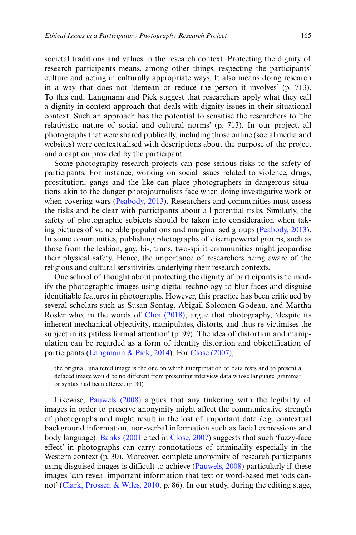societal traditions and values in the research context. Protecting the dignity of research participants means, among other things, respecting the participants' culture and acting in culturally appropriate ways. It also means doing research in a way that does not 'demean or reduce the person it involves' (p. 713). To this end, Langmann and Pick suggest that researchers apply what they call a dignity-in-context approach that deals with dignity issues in their situational context. Such an approach has the potential to sensitise the researchers to 'the relativistic nature of social and cultural norms' (p. 713). In our project, all photographs that were shared publically, including those online (social media and websites) were contextualised with descriptions about the purpose of the project and a caption provided by the participant.

Some photography research projects can pose serious risks to the safety of participants. For instance, working on social issues related to violence, drugs, prostitution, gangs and the like can place photographers in dangerous situations akin to the danger photojournalists face when doing investigative work or when covering wars [\(Peabody, 2013](#page-16-18)). Researchers and communities must assess the risks and be clear with participants about all potential risks. Similarly, the safety of photographic subjects should be taken into consideration when taking pictures of vulnerable populations and marginalised groups ([Peabody, 2013](#page-16-18)). In some communities, publishing photographs of disempowered groups, such as those from the lesbian, gay, bi-, trans, two-spirit communities might jeopardise their physical safety. Hence, the importance of researchers being aware of the religious and cultural sensitivities underlying their research contexts.

One school of thought about protecting the dignity of participants is to modify the photographic images using digital technology to blur faces and disguise identifiable features in photographs. However, this practice has been critiqued by several scholars such as Susan Sontag, Abigail Solomon-Godeau, and Martha Rosler who, in the words of [Choi \(2018\)](#page-15-14), argue that photography, 'despite its inherent mechanical objectivity, manipulates, distorts, and thus re-victimises the subject in its pitiless formal attention' (p. 99). The idea of distortion and manipulation can be regarded as a form of identity distortion and objectification of participants ([Langmann & Pick, 2014](#page-16-16)). For [Close \(2007\),](#page-15-15)

the original, unaltered image is the one on which interpretation of data rests and to present a defaced image would be no different from presenting interview data whose language, grammar or syntax had been altered. (p. 30)

Likewise, [Pauwels \(2008\)](#page-16-19) argues that any tinkering with the legibility of images in order to preserve anonymity might affect the communicative strength of photographs and might result in the lost of important data (e.g. contextual background information, non-verbal information such as facial expressions and body language). [Banks \(2001](#page-15-16) cited in [Close, 2007](#page-15-15)) suggests that such 'fuzzy-face effect' in photographs can carry connotations of criminality especially in the Western context (p. 30). Moreover, complete anonymity of research participants using disguised images is difficult to achieve [\(Pauwels, 2008](#page-16-19)) particularly if these images 'can reveal important information that text or word-based methods cannot' [\(Clark, Prosser, & Wiles, 2010.](#page-15-17) p. 86). In our study, during the editing stage,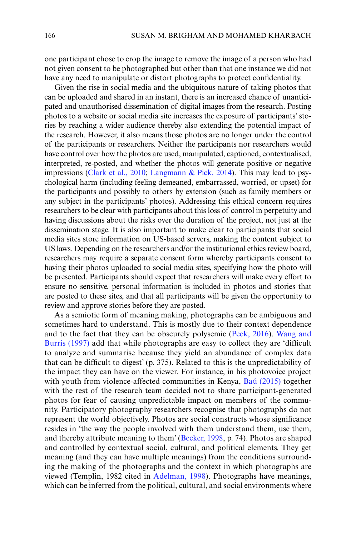one participant chose to crop the image to remove the image of a person who had not given consent to be photographed but other than that one instance we did not have any need to manipulate or distort photographs to protect confidentiality.

Given the rise in social media and the ubiquitous nature of taking photos that can be uploaded and shared in an instant, there is an increased chance of unanticipated and unauthorised dissemination of digital images from the research. Posting photos to a website or social media site increases the exposure of participants' stories by reaching a wider audience thereby also extending the potential impact of the research. However, it also means those photos are no longer under the control of the participants or researchers. Neither the participants nor researchers would have control over how the photos are used, manipulated, captioned, contextualised, interpreted, re-posted, and whether the photos will generate positive or negative impressions [\(Clark et al., 2010](#page-15-17); [Langmann & Pick, 2014](#page-16-16)). This may lead to psychological harm (including feeling demeaned, embarrassed, worried, or upset) for the participants and possibly to others by extension (such as family members or any subject in the participants' photos). Addressing this ethical concern requires researchers to be clear with participants about this loss of control in perpetuity and having discussions about the risks over the duration of the project, not just at the dissemination stage. It is also important to make clear to participants that social media sites store information on US-based servers, making the content subject to US laws. Depending on the researchers and/or the institutional ethics review board, researchers may require a separate consent form whereby participants consent to having their photos uploaded to social media sites, specifying how the photo will be presented. Participants should expect that researchers will make every effort to ensure no sensitive, personal information is included in photos and stories that are posted to these sites, and that all participants will be given the opportunity to review and approve stories before they are posted.

As a semiotic form of meaning making, photographs can be ambiguous and sometimes hard to understand. This is mostly due to their context dependence and to the fact that they can be obscurely polysemic ([Peck, 2016](#page-16-20)). [Wang and](#page-17-13) [Burris \(1997\)](#page-17-13) add that while photographs are easy to collect they are 'difficult to analyze and summarise because they yield an abundance of complex data that can be difficult to digest' (p. 375). Related to this is the unpredictability of the impact they can have on the viewer. For instance, in his photovoice project with youth from violence-affected communities in Kenya, [Baú \(2015\)](#page-15-18) together with the rest of the research team decided not to share participant-generated photos for fear of causing unpredictable impact on members of the community. Participatory photography researchers recognise that photographs do not represent the world objectively. Photos are social constructs whose significance resides in 'the way the people involved with them understand them, use them, and thereby attribute meaning to them' ([Becker, 1998](#page-15-19), p. 74). Photos are shaped and controlled by contextual social, cultural, and political elements. They get meaning (and they can have multiple meanings) from the conditions surrounding the making of the photographs and the context in which photographs are viewed (Templin, 1982 cited in [Adelman, 1998\)](#page-15-20). Photographs have meanings, which can be inferred from the political, cultural, and social environments where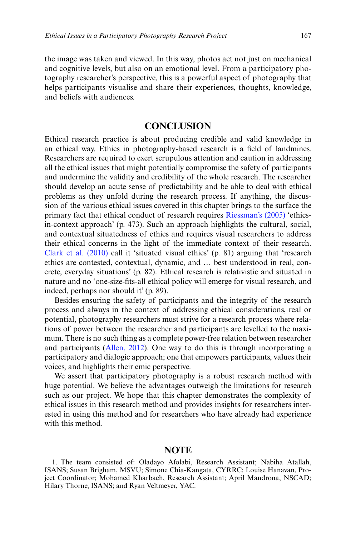the image was taken and viewed. In this way, photos act not just on mechanical and cognitive levels, but also on an emotional level. From a participatory photography researcher's perspective, this is a powerful aspect of photography that helps participants visualise and share their experiences, thoughts, knowledge, and beliefs with audiences.

# **CONCLUSION**

Ethical research practice is about producing credible and valid knowledge in an ethical way. Ethics in photography-based research is a field of landmines. Researchers are required to exert scrupulous attention and caution in addressing all the ethical issues that might potentially compromise the safety of participants and undermine the validity and credibility of the whole research. The researcher should develop an acute sense of predictability and be able to deal with ethical problems as they unfold during the research process. If anything, the discussion of the various ethical issues covered in this chapter brings to the surface the primary fact that ethical conduct of research requires [Riessman's \(2005\)](#page-17-14) 'ethicsin-context approach' (p. 473). Such an approach highlights the cultural, social, and contextual situatedness of ethics and requires visual researchers to address their ethical concerns in the light of the immediate context of their research. [Clark et al. \(2010\)](#page-15-17) call it 'situated visual ethics' (p. 81) arguing that 'research ethics are contested, contextual, dynamic, and … best understood in real, concrete, everyday situations' (p. 82). Ethical research is relativistic and situated in nature and no 'one-size-fits-all ethical policy will emerge for visual research, and indeed, perhaps nor should it' (p. 89).

Besides ensuring the safety of participants and the integrity of the research process and always in the context of addressing ethical considerations, real or potential, photography researchers must strive for a research process where relations of power between the researcher and participants are levelled to the maximum. There is no such thing as a complete power-free relation between researcher and participants ([Allen, 2012\)](#page-15-21). One way to do this is through incorporating a participatory and dialogic approach; one that empowers participants, values their voices, and highlights their emic perspective.

We assert that participatory photography is a robust research method with huge potential. We believe the advantages outweigh the limitations for research such as our project. We hope that this chapter demonstrates the complexity of ethical issues in this research method and provides insights for researchers interested in using this method and for researchers who have already had experience with this method.

#### **NOTE**

<span id="page-14-0"></span><sup>1.</sup> The team consisted of: Oladayo Afolabi, Research Assistant; Nabiha Atallah, ISANS; Susan Brigham, MSVU; Simone Chia-Kangata, CYRRC; Louise Hanavan, Project Coordinator; Mohamed Kharbach, Research Assistant; April Mandrona, NSCAD; Hilary Thorne, ISANS; and Ryan Veltmeyer, YAC.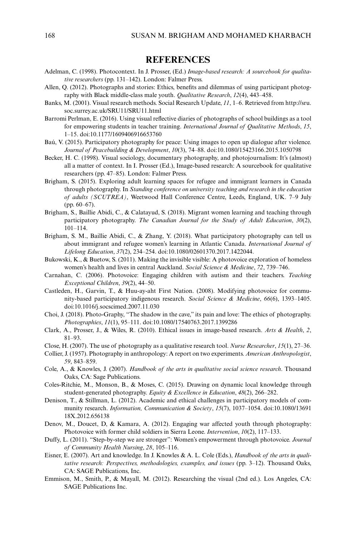#### **REFERENCES**

- <span id="page-15-20"></span>Adelman, C. (1998). Photocontext. In J. Prosser, (Ed.) *Image-based research: A sourcebook for qualitative researchers* (pp. 131–142). London: Falmer Press.
- <span id="page-15-21"></span>Allen, Q. (2012). Photographs and stories: Ethics, benefits and dilemmas of using participant photography with Black middle-class male youth. *Qualitative Research*, *12*(4), 443–458.
- <span id="page-15-16"></span>Banks, M. (2001). Visual research methods. Social Research Update, *11*, 1–6. Retrieved from http://sru. soc.surrey.ac.uk/SRU11/SRU11.html
- <span id="page-15-8"></span>Barromi Perlman, E. (2016). Using visual reflective diaries of photographs of school buildings as a tool for empowering students in teacher training. *International Journal of Qualitative Methods*, *15*, 1–15. doi:10.1177/1609406916653760
- <span id="page-15-18"></span>Baú, V. (2015). Participatory photography for peace: Using images to open up dialogue after violence. *Journal of Peacebuilding & Development*, *10*(3), 74–88. doi:10.1080/15423166.2015.1050798
- <span id="page-15-19"></span>Becker, H. C. (1998). Visual sociology, documentary photography, and photojournalism: It's (almost) all a matter of context. In I. Prosser (Ed.), Image-based research: A sourcebook for qualitative researchers (pp. 47–85). London: Falmer Press.
- <span id="page-15-3"></span>Brigham, S. (2015). Exploring adult learning spaces for refugee and immigrant learners in Canada through photography. In *Standing conference on university teaching and research in the education of adults (SCUTREA)*, Weetwood Hall Conference Centre, Leeds, England, UK. 7–9 July (pp. 60–67).
- <span id="page-15-0"></span>Brigham, S., Baillie Abidi, C., & Calatayud, S. (2018). Migrant women learning and teaching through participatory photography. *The Canadian Journal for the Study of Adult Education*, *30*(2), 101–114.
- <span id="page-15-4"></span>Brigham, S. M., Baillie Abidi, C., & Zhang, Y. (2018). What participatory photography can tell us about immigrant and refugee women's learning in Atlantic Canada. *International Journal of Lifelong Education*, *37*(2), 234–254. doi:10.1080/02601370.2017.1422044.
- <span id="page-15-12"></span>Bukowski, K., & Buetow, S. (2011). Making the invisible visible: A photovoice exploration of homeless women's health and lives in central Auckland. *Social Science & Medicine*, *72*, 739–746.
- <span id="page-15-7"></span>Carnahan, C. (2006). Photovoice: Engaging children with autism and their teachers. *Teaching Exceptional Children*, *39*(2), 44–50.
- <span id="page-15-6"></span>Castleden, H., Garvin, T., & Huu-ay-aht First Nation. (2008). Modifying photovoice for community-based participatory indigenous research. *Social Science & Medicine*, *66*(6), 1393–1405. doi:10.1016/j.socscimed.2007.11.030
- <span id="page-15-14"></span>Choi, J. (2018). Photo-Graphy, "The shadow in the cave," its pain and love: The ethics of photography. *Photographies*, *11*(1), 95–111. doi:10.1080/17540763.2017.1399286
- <span id="page-15-17"></span>Clark, A., Prosser, J., & Wiles, R. (2010). Ethical issues in image-based research. *Arts & Health*, *2*, 81–93.
- <span id="page-15-15"></span>Close, H. (2007). The use of photography as a qualitative research tool. *Nurse Researcher*, *15*(1), 27–36.
- <span id="page-15-9"></span>Collier, J. (1957). Photography in anthropology: A report on two experiments. *American Anthropologist*, *59*, 843–859.
- <span id="page-15-2"></span>Cole, A., & Knowles, J. (2007). *Handbook of the arts in qualitative social science research*. Thousand Oaks, CA: Sage Publications.
- <span id="page-15-13"></span>Coles-Ritchie, M., Monson, B., & Moses, C. (2015). Drawing on dynamic local knowledge through student-generated photography. *Equity & Excellence in Education*, *48*(2), 266–282.
- <span id="page-15-10"></span>Denison, T., & Stillman, L. (2012). Academic and ethical challenges in participatory models of community research. *Information, Communication & Society*, *15*(7), 1037–1054. doi:10.1080/13691 18X.2012.656138
- <span id="page-15-5"></span>Denov, M., Doucet, D, & Kamara, A. (2012). Engaging war affected youth through photography: Photovoice with former child soldiers in Sierra Leone. *Intervention*, *10*(2), 117–133.
- <span id="page-15-11"></span>Duffy, L. (2011). "Step-by-step we are stronger": Women's empowerment through photovoice. *Journal of Community Health Nursing*, *28*, 105–116.
- <span id="page-15-1"></span>Eisner, E. (2007). Art and knowledge. In J. Knowles & A. L. Cole (Eds.), *Handbook of the arts in qualitative research: Perspectives, methodologies, examples, and issues* (pp. 3–12). Thousand Oaks, CA: SAGE Publications, Inc.
- Emmison, M., Smith, P., & Mayall, M. (2012). Researching the visual (2nd ed.). Los Angeles, CA: SAGE Publications Inc.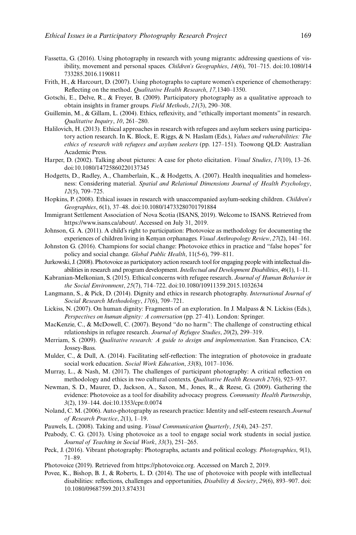- <span id="page-16-2"></span>Fassetta, G. (2016). Using photography in research with young migrants: addressing questions of visibility, movement and personal spaces. *Children's Geographies*, *14*(6), 701–715. doi:10.1080/14 733285.2016.1190811
- <span id="page-16-6"></span>Frith, H., & Harcourt, D. (2007). Using photographs to capture women's experience of chemotherapy: Reflecting on the method. *Qualitative Health Research*, *17,*1340–1350.
- <span id="page-16-1"></span>Gotschi, E., Delve, R., & Freyer, B. (2009). Participatory photography as a qualitative approach to obtain insights in framer groups. *Field Methods*, *21*(3), 290–308.
- Guillemin, M., & Gillam, L. (2004). Ethics, reflexivity, and "ethically important moments" in research. *Qualitative Inquiry*, *10*, 261–280.
- <span id="page-16-11"></span>Halilovich, H. (2013). Ethical approaches in research with refugees and asylum seekers using participatory action research. In K. Block, E. Riggs, & N. Haslam (Eds.), *Values and vulnerabilities: The ethics of research with refugees and asylum seekers* (pp. 127–151). Toowong QLD: Australian Academic Press.
- <span id="page-16-9"></span>Harper, D. (2002). Talking about pictures: A case for photo elicitation. *Visual Studies*, *17*(10), 13–26. doi:10.1080/14725860220137345
- <span id="page-16-8"></span>Hodgetts, D., Radley, A., Chamberlain, K., & Hodgetts, A. (2007). Health inequalities and homelessness: Considering material. *Spatial and Relational Dimensions Journal of Health Psychology*, *12*(5), 709–725.
- <span id="page-16-12"></span>Hopkins, P. (2008). Ethical issues in research with unaccompanied asylum-seeking children. *Children's Geographies*, *6*(1), 37–48. doi:10.1080/14733280701791884
- Immigrant Settlement Association of Nova Scotia (ISANS, 2019). Welcome to ISANS. Retrieved from https://www.isans.ca/about/. Accessed on July 31, 2019.
- <span id="page-16-7"></span>Johnson, G. A. (2011). A child's right to participation: Photovoice as methodology for documenting the experiences of children living in Kenyan orphanages. *Visual Anthropology Review*, *27*(2), 141–161.
- Johnston G. (2016). Champions for social change: Photovoice ethics in practice and "false hopes" for policy and social change. *Global Public Health*, 11(5-6), 799–811.
- <span id="page-16-3"></span>Jurkowski, J. (2008). Photovoice as participatory action research tool for engaging people with intellectual disabilities in research and program development. *Intellectual and Development Disabilities*, *46*(1), 1–11.
- <span id="page-16-13"></span>Kabranian-Melkonian, S. (2015). Ethical concerns with refugee research. *Journal of Human Behavior in the Social Environment*, *25*(7), 714–722. doi:10.1080/10911359.2015.1032634
- <span id="page-16-16"></span>Langmann, S., & Pick, D. (2014). Dignity and ethics in research photography. *International Journal of Social Research Methodology*, *17*(6), 709–721.
- <span id="page-16-17"></span>Lickiss, N. (2007). On human dignity: Fragments of an exploration. In J. Malpass & N. Lickiss (Eds.), *Perspectives on human dignity: A conversation* (pp. 27–41). London: Springer.
- <span id="page-16-14"></span>MacKenzie, C., & McDowell, C. (2007). Beyond "do no harm": The challenge of constructing ethical relationships in refugee research. *Journal of Refugee Studies*, *20*(2), 299–319.
- <span id="page-16-10"></span>Merriam, S. (2009). *Qualitative research: A guide to design and implementation*. San Francisco, CA: Jossey-Bass.
- <span id="page-16-15"></span>Mulder, C., & Dull, A. (2014). Facilitating self-reflection: The integration of photovoice in graduate social work education. *Social Work Education*, *33*(8), 1017–1036.
- Murray, L., & Nash, M. (2017). The challenges of participant photography: A critical reflection on methodology and ethics in two cultural contexts. *Qualitative Health Research 27*(6), 923–937.
- <span id="page-16-4"></span>Newman, S. D., Maurer, D., Jackson, A., Saxon, M., Jones, R., & Reese, G. (2009). Gathering the evidence: Photovoice as a tool for disability advocacy progress. *Community Health Partnership*, *3*(2), 139–144. doi:10.1353/cpr.0.0074
- <span id="page-16-0"></span>Noland, C. M. (2006). Auto-photography as research practice: Identity and self-esteem research.*Journal of Research Practice*, *2*(1), 1–19.
- <span id="page-16-19"></span>Pauwels, L. (2008). Taking and using. *Visual Communication Quarterly*, *15*(4), 243–257.
- <span id="page-16-18"></span>Peabody, C. G. (2013). Using photovoice as a tool to engage social work students in social justice. *Journal of Teaching in Social Work*, *33*(3), 251–265.
- <span id="page-16-20"></span>Peck, J. (2016). Vibrant photography: Photographs, actants and political ecology. *Photographies*, *9*(1), 71–89.
- Photovoice (2019). Retrieved from https://photovoice.org. Accessed on March 2, 2019.
- <span id="page-16-5"></span>Povee, K., Bishop, B. J., & Roberts, L. D. (2014). The use of photovoice with people with intellectual disabilities: reflections, challenges and opportunities, *Disability & Society*, *29*(6), 893–907. doi: 10.1080/09687599.2013.874331